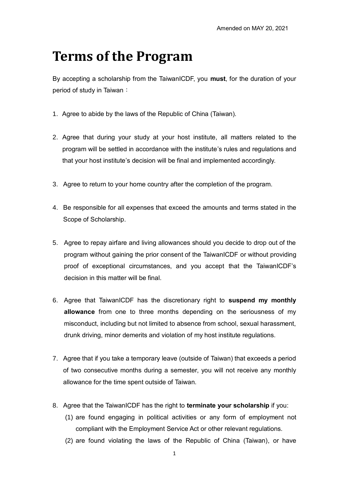## **Terms of the Program**

By accepting a scholarship from the TaiwanICDF, you **must**, for the duration of your period of study in Taiwan:

- 1. Agree to abide by the laws of the Republic of China (Taiwan).
- 2. Agree that during your study at your host institute, all matters related to the program will be settled in accordance with the institute's rules and regulations and that your host institute's decision will be final and implemented accordingly.
- 3. Agree to return to your home country after the completion of the program.
- 4. Be responsible for all expenses that exceed the amounts and terms stated in the Scope of Scholarship.
- 5. Agree to repay airfare and living allowances should you decide to drop out of the program without gaining the prior consent of the TaiwanICDF or without providing proof of exceptional circumstances, and you accept that the TaiwanICDF's decision in this matter will be final.
- 6. Agree that TaiwanICDF has the discretionary right to **suspend my monthly allowance** from one to three months depending on the seriousness of my misconduct, including but not limited to absence from school, sexual harassment, drunk driving, minor demerits and violation of my host institute regulations.
- 7. Agree that if you take a temporary leave (outside of Taiwan) that exceeds a period of two consecutive months during a semester, you will not receive any monthly allowance for the time spent outside of Taiwan.
- 8. Agree that the TaiwanICDF has the right to **terminate your scholarship** if you:
	- (1) are found engaging in political activities or any form of employment not compliant with the Employment Service Act or other relevant regulations.
	- (2) are found violating the laws of the Republic of China (Taiwan), or have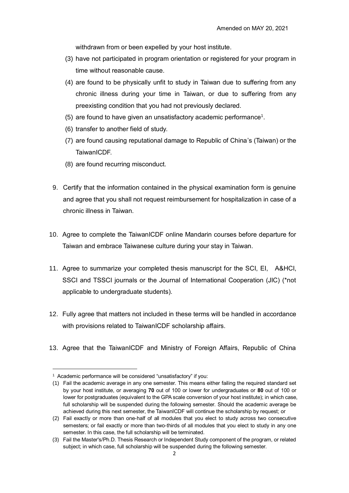withdrawn from or been expelled by your host institute.

- (3) have not participated in program orientation or registered for your program in time without reasonable cause.
- (4) are found to be physically unfit to study in Taiwan due to suffering from any chronic illness during your time in Taiwan, or due to suffering from any preexisting condition that you had not previously declared.
- (5) are found to have given an unsatisfactory academic performance<sup>1</sup>.
- (6) transfer to another field of study.
- (7) are found causing reputational damage to Republic of China's (Taiwan) or the TaiwanICDF.
- (8) are found recurring misconduct.
- 9. Certify that the information contained in the physical examination form is genuine and agree that you shall not request reimbursement for hospitalization in case of a chronic illness in Taiwan.
- 10. Agree to complete the TaiwanICDF online Mandarin courses before departure for Taiwan and embrace Taiwanese culture during your stay in Taiwan.
- 11. Agree to summarize your completed thesis manuscript for the SCI, EI, A&HCI, SSCI and TSSCI journals or the Journal of International Cooperation (JIC) (\*not applicable to undergraduate students).
- 12. Fully agree that matters not included in these terms will be handled in accordance with provisions related to TaiwanICDF scholarship affairs.
- 13. Agree that the TaiwanICDF and Ministry of Foreign Affairs, Republic of China

 $\overline{a}$ 

<sup>&</sup>lt;sup>1</sup> Academic performance will be considered "unsatisfactory" if you:

<sup>(1)</sup> Fail the academic average in any one semester. This means either failing the required standard set by your host institute, or averaging **70** out of 100 or lower for undergraduates or **80** out of 100 or lower for postgraduates (equivalent to the GPA scale conversion of your host institute); in which case, full scholarship will be suspended during the following semester. Should the academic average be achieved during this next semester, the TaiwanICDF will continue the scholarship by request; or

<sup>(2)</sup> Fail exactly or more than one-half of all modules that you elect to study across two consecutive semesters; or fail exactly or more than two-thirds of all modules that you elect to study in any one semester. In this case, the full scholarship will be terminated.

<sup>(3)</sup> Fail the Master's/Ph.D. Thesis Research or Independent Study component of the program, or related subject; in which case, full scholarship will be suspended during the following semester.